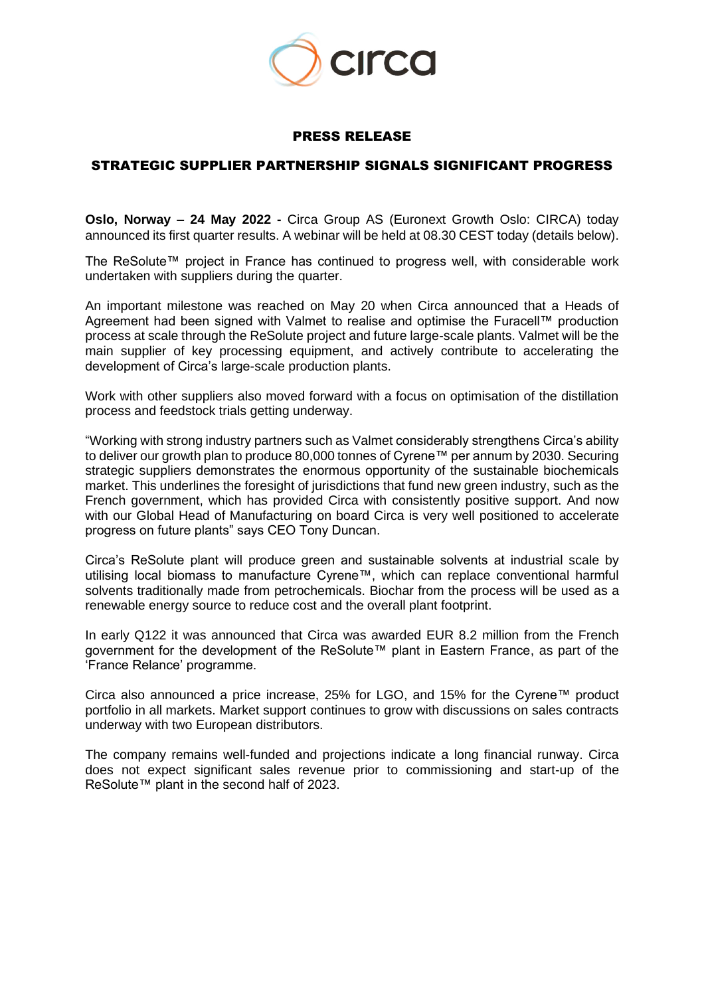

## PRESS RELEASE

## STRATEGIC SUPPLIER PARTNERSHIP SIGNALS SIGNIFICANT PROGRESS

**Oslo, Norway – 24 May 2022 -** Circa Group AS (Euronext Growth Oslo: CIRCA) today announced its first quarter results. A webinar will be held at 08.30 CEST today (details below).

The ReSolute™ project in France has continued to progress well, with considerable work undertaken with suppliers during the quarter.

An important milestone was reached on May 20 when Circa announced that a Heads of Agreement had been signed with Valmet to realise and optimise the Furacell™ production process at scale through the ReSolute project and future large-scale plants. Valmet will be the main supplier of key processing equipment, and actively contribute to accelerating the development of Circa's large-scale production plants.

Work with other suppliers also moved forward with a focus on optimisation of the distillation process and feedstock trials getting underway.

"Working with strong industry partners such as Valmet considerably strengthens Circa's ability to deliver our growth plan to produce 80,000 tonnes of Cyrene™ per annum by 2030. Securing strategic suppliers demonstrates the enormous opportunity of the sustainable biochemicals market. This underlines the foresight of jurisdictions that fund new green industry, such as the French government, which has provided Circa with consistently positive support. And now with our Global Head of Manufacturing on board Circa is very well positioned to accelerate progress on future plants" says CEO Tony Duncan.

Circa's ReSolute plant will produce green and sustainable solvents at industrial scale by utilising local biomass to manufacture Cyrene™, which can replace conventional harmful solvents traditionally made from petrochemicals. Biochar from the process will be used as a renewable energy source to reduce cost and the overall plant footprint.

In early Q122 it was announced that Circa was awarded EUR 8.2 million from the French government for the development of the ReSolute™ plant in Eastern France, as part of the 'France Relance' programme.

Circa also announced a price increase, 25% for LGO, and 15% for the Cyrene™ product portfolio in all markets. Market support continues to grow with discussions on sales contracts underway with two European distributors.

The company remains well-funded and projections indicate a long financial runway. Circa does not expect significant sales revenue prior to commissioning and start-up of the ReSolute™ plant in the second half of 2023.